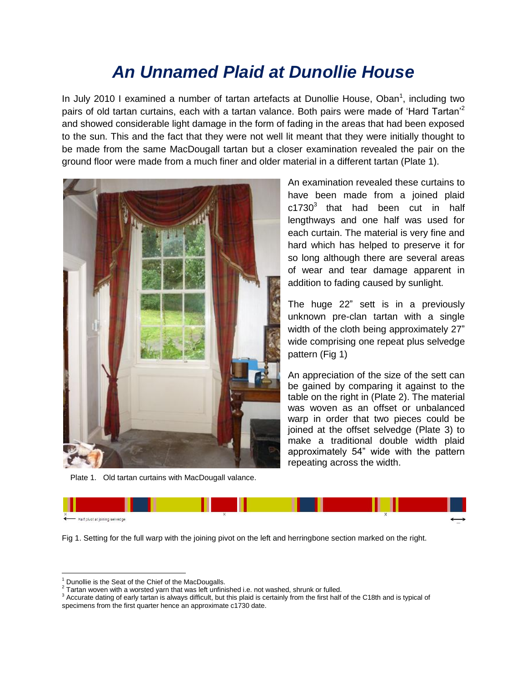## *An Unnamed Plaid at Dunollie House*

In July 2010 I examined a number of tartan artefacts at Dunollie House, Oban<sup>1</sup>, including two pairs of old tartan curtains, each with a tartan valance. Both pairs were made of 'Hard Tartan'<sup>2</sup> and showed considerable light damage in the form of fading in the areas that had been exposed to the sun. This and the fact that they were not well lit meant that they were initially thought to be made from the same MacDougall tartan but a closer examination revealed the pair on the ground floor were made from a much finer and older material in a different tartan (Plate 1).



Plate 1. Old tartan curtains with MacDougall valance.

An examination revealed these curtains to have been made from a joined plaid  $c1730<sup>3</sup>$  that had been cut in half lengthways and one half was used for each curtain. The material is very fine and hard which has helped to preserve it for so long although there are several areas of wear and tear damage apparent in addition to fading caused by sunlight.

The huge 22" sett is in a previously unknown pre-clan tartan with a single width of the cloth being approximately 27" wide comprising one repeat plus selvedge pattern (Fig 1)

An appreciation of the size of the sett can be gained by comparing it against to the table on the right in (Plate 2). The material was woven as an offset or unbalanced warp in order that two pieces could be joined at the offset selvedge (Plate 3) to make a traditional double width plaid approximately 54" wide with the pattern repeating across the width.



Fig 1. Setting for the full warp with the joining pivot on the left and herringbone section marked on the right.

 $\overline{\phantom{a}}$ 

Dunollie is the Seat of the Chief of the MacDougalls.

 $2$  Tartan woven with a worsted yarn that was left unfinished i.e. not washed, shrunk or fulled.

<sup>&</sup>lt;sup>3</sup> Accurate dating of early tartan is always difficult, but this plaid is certainly from the first half of the C18th and is typical of specimens from the first quarter hence an approximate c1730 date.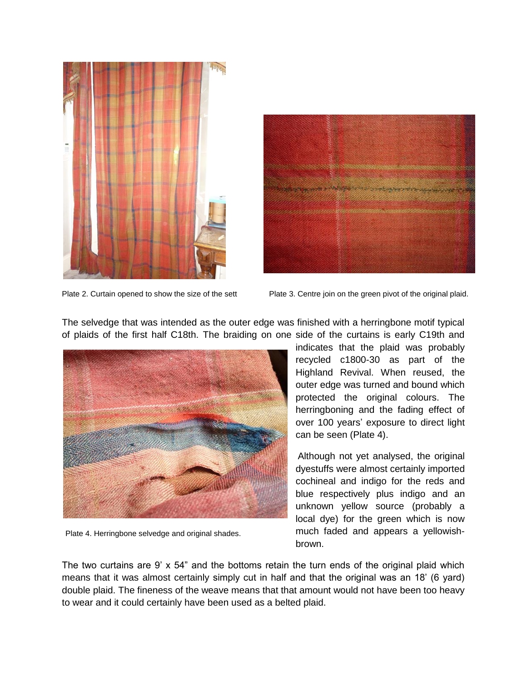



Plate 2. Curtain opened to show the size of the sett

Plate 3. Centre join on the green pivot of the original plaid.

The selvedge that was intended as the outer edge was finished with a herringbone motif typical of plaids of the first half C18th. The braiding on one side of the curtains is early C19th and



Plate 4. Herringbone selvedge and original shades.

indicates that the plaid was probably recycled c1800-30 as part of the Highland Revival. When reused, the outer edge was turned and bound which protected the original colours. The herringboning and the fading effect of over 100 years' exposure to direct light can be seen (Plate 4).

Although not yet analysed, the original dyestuffs were almost certainly imported cochineal and indigo for the reds and blue respectively plus indigo and an unknown yellow source (probably a local dye) for the green which is now much faded and appears a yellowishbrown.

The two curtains are 9' x 54" and the bottoms retain the turn ends of the original plaid which means that it was almost certainly simply cut in half and that the original was an 18' (6 yard) double plaid. The fineness of the weave means that that amount would not have been too heavy to wear and it could certainly have been used as a belted plaid.